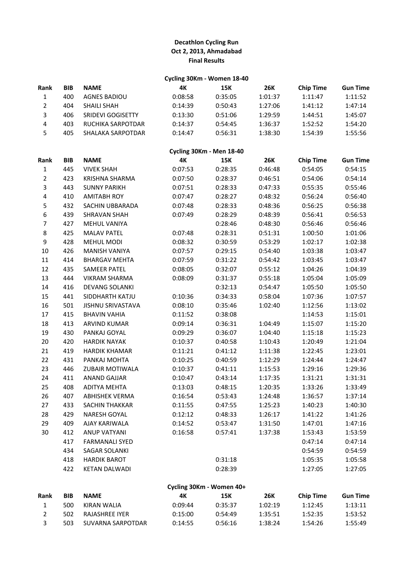# **Decathlon Cycling Run Oct 2, 2013, Ahmadabad Final Results**

## **Cycling 30Km - Women 18-40**

| <b>Rank</b> | <b>BIB</b> | <b>NAME</b>         | 4К      | 15K     | <b>26K</b> | <b>Chip Time</b> | <b>Gun Time</b> |
|-------------|------------|---------------------|---------|---------|------------|------------------|-----------------|
| 1           | 400        | <b>AGNES BADIOU</b> | 0:08:58 | 0:35:05 | 1:01:37    | 1:11:47          | 1:11:52         |
|             | 404        | <b>SHAILI SHAH</b>  | 0:14:39 | 0:50:43 | 1:27:06    | 1:41:12          | 1:47:14         |
| 3           | 406        | SRIDEVI GOGISETTY   | 0:13:30 | 0:51:06 | 1:29:59    | 1:44:51          | 1:45:07         |
| 4           | 403        | RUCHIKA SARPOTDAR   | 0:14:37 | 0:54:45 | 1:36:37    | 1:52:52          | 1:54:20         |
| 5.          | 405        | SHALAKA SARPOTDAR   | 0:14:47 | 0:56:31 | 1:38:30    | 1:54:39          | 1:55:56         |
|             |            |                     |         |         |            |                  |                 |

# **Cycling 30Km - Men 18-40**

| Rank             | <b>BIB</b> | <b>NAME</b>              | 4K      | <b>15K</b>               | <b>26K</b> | <b>Chip Time</b> | <b>Gun Time</b> |
|------------------|------------|--------------------------|---------|--------------------------|------------|------------------|-----------------|
| $\mathbf 1$      | 445        | <b>VIVEK SHAH</b>        | 0:07:53 | 0:28:35                  | 0:46:48    | 0:54:05          | 0:54:15         |
| $\overline{2}$   | 423        | KRISHNA SHARMA           | 0:07:50 | 0:28:37                  | 0:46:51    | 0:54:06          | 0:54:14         |
| 3                | 443        | <b>SUNNY PARIKH</b>      | 0:07:51 | 0:28:33                  | 0:47:33    | 0:55:35          | 0:55:46         |
| 4                | 410        | <b>AMITABH ROY</b>       | 0:07:47 | 0:28:27                  | 0:48:32    | 0:56:24          | 0:56:40         |
| 5                | 432        | SACHIN UBBARADA          | 0:07:48 | 0:28:33                  | 0:48:36    | 0:56:25          | 0:56:38         |
| 6                | 439        | <b>SHRAVAN SHAH</b>      | 0:07:49 | 0:28:29                  | 0:48:39    | 0:56:41          | 0:56:53         |
| $\overline{7}$   | 427        | MEHUL VANIYA             |         | 0:28:46                  | 0:48:30    | 0:56:46          | 0:56:46         |
| 8                | 425        | <b>MALAV PATEL</b>       | 0:07:48 | 0:28:31                  | 0:51:31    | 1:00:50          | 1:01:06         |
| $\boldsymbol{9}$ | 428        | <b>MEHUL MODI</b>        | 0:08:32 | 0:30:59                  | 0:53:29    | 1:02:17          | 1:02:38         |
| 10               | 426        | MANISH VANIYA            | 0:07:57 | 0:29:15                  | 0:54:40    | 1:03:38          | 1:03:47         |
| $11\,$           | 414        | <b>BHARGAV MEHTA</b>     | 0:07:59 | 0:31:22                  | 0:54:42    | 1:03:45          | 1:03:47         |
| 12               | 435        | <b>SAMEER PATEL</b>      | 0:08:05 | 0:32:07                  | 0:55:12    | 1:04:26          | 1:04:39         |
| 13               | 444        | <b>VIKRAM SHARMA</b>     | 0:08:09 | 0:31:37                  | 0:55:18    | 1:05:04          | 1:05:09         |
| 14               | 416        | <b>DEVANG SOLANKI</b>    |         | 0:32:13                  | 0:54:47    | 1:05:50          | 1:05:50         |
| 15               | 441        | SIDDHARTH KATJU          | 0:10:36 | 0:34:33                  | 0:58:04    | 1:07:36          | 1:07:57         |
| 16               | 501        | <b>JISHNU SRIVASTAVA</b> | 0:08:10 | 0:35:46                  | 1:02:40    | 1:12:56          | 1:13:02         |
| 17               | 415        | <b>BHAVIN VAHIA</b>      | 0:11:52 | 0:38:08                  |            | 1:14:53          | 1:15:01         |
| 18               | 413        | ARVIND KUMAR             | 0:09:14 | 0:36:31                  | 1:04:49    | 1:15:07          | 1:15:20         |
| 19               | 430        | PANKAJ GOYAL             | 0:09:29 | 0:36:07                  | 1:04:40    | 1:15:18          | 1:15:23         |
| 20               | 420        | <b>HARDIK NAYAK</b>      | 0:10:37 | 0:40:58                  | 1:10:43    | 1:20:49          | 1:21:04         |
| 21               | 419        | <b>HARDIK KHAMAR</b>     | 0:11:21 | 0:41:12                  | 1:11:38    | 1:22:45          | 1:23:01         |
| 22               | 431        | PANKAJ MOHTA             | 0:10:25 | 0:40:59                  | 1:12:29    | 1:24:44          | 1:24:47         |
| 23               | 446        | <b>ZUBAIR MOTIWALA</b>   | 0:10:37 | 0:41:11                  | 1:15:53    | 1:29:16          | 1:29:36         |
| 24               | 411        | <b>ANAND GAJJAR</b>      | 0:10:47 | 0:43:14                  | 1:17:35    | 1:31:21          | 1:31:31         |
| 25               | 408        | <b>ADITYA MEHTA</b>      | 0:13:03 | 0:48:15                  | 1:20:35    | 1:33:26          | 1:33:49         |
| 26               | 407        | <b>ABHISHEK VERMA</b>    | 0:16:54 | 0:53:43                  | 1:24:48    | 1:36:57          | 1:37:14         |
| 27               | 433        | SACHIN THAKKAR           | 0:11:55 | 0:47:55                  | 1:25:23    | 1:40:23          | 1:40:30         |
| 28               | 429        | NARESH GOYAL             | 0:12:12 | 0:48:33                  | 1:26:17    | 1:41:22          | 1:41:26         |
| 29               | 409        | AJAY KARIWALA            | 0:14:52 | 0:53:47                  | 1:31:50    | 1:47:01          | 1:47:16         |
| 30               | 412        | <b>ANUP VATYANI</b>      | 0:16:58 | 0:57:41                  | 1:37:38    | 1:53:43          | 1:53:59         |
|                  | 417        | <b>FARMANALI SYED</b>    |         |                          |            | 0:47:14          | 0:47:14         |
|                  | 434        | <b>SAGAR SOLANKI</b>     |         |                          |            | 0:54:59          | 0:54:59         |
|                  | 418        | <b>HARDIK BAROT</b>      |         | 0:31:18                  |            | 1:05:35          | 1:05:58         |
|                  | 422        | <b>KETAN DALWADI</b>     |         | 0:28:39                  |            | 1:27:05          | 1:27:05         |
|                  |            |                          |         | Cycling 30Km - Women 40+ |            |                  |                 |
| المناسب          | <b>DID</b> | $$                       |         |                          | 201        |                  | $-$             |

| Rank | <b>BIB</b> | <b>NAME</b>       | 4K      | 15K     | 26K     | <b>Chip Time</b> | <b>Gun Time</b> |
|------|------------|-------------------|---------|---------|---------|------------------|-----------------|
|      | 500        | KIRAN WALIA       | 0:09:44 | 0.35.37 | 1:02:19 | 1:12:45          | 1:13:11         |
|      | 502.       | RAJASHREE IYER    | 0:15:00 | 0:54:49 | 1:35:51 | 1:52:35          | 1:53:52         |
|      | 503        | SUVARNA SARPOTDAR | 0:14:55 | 0:56:16 | 1:38:24 | 1:54:26          | 1:55:49         |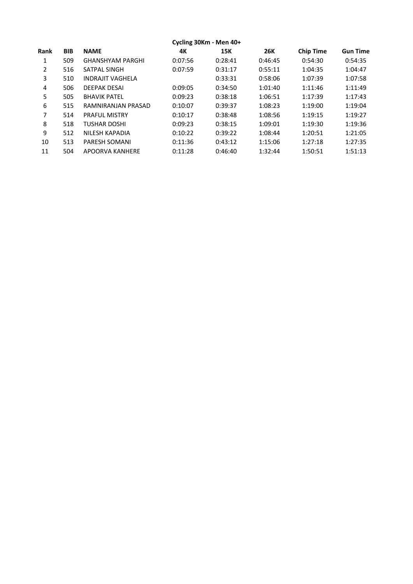|             | Cycling 30Km - Men 40+ |                         |         |         |            |                  |                 |  |  |  |
|-------------|------------------------|-------------------------|---------|---------|------------|------------------|-----------------|--|--|--|
| <b>Rank</b> | <b>BIB</b>             | <b>NAME</b>             | 4К      | 15K     | <b>26K</b> | <b>Chip Time</b> | <b>Gun Time</b> |  |  |  |
| 1           | 509                    | <b>GHANSHYAM PARGHI</b> | 0:07:56 | 0:28:41 | 0:46:45    | 0:54:30          | 0:54:35         |  |  |  |
| 2           | 516                    | SATPAL SINGH            | 0:07:59 | 0:31:17 | 0:55:11    | 1:04:35          | 1:04:47         |  |  |  |
| 3           | 510                    | <b>INDRAJIT VAGHELA</b> |         | 0:33:31 | 0:58:06    | 1:07:39          | 1:07:58         |  |  |  |
| 4           | 506                    | <b>DEEPAK DESAI</b>     | 0:09:05 | 0:34:50 | 1:01:40    | 1:11:46          | 1:11:49         |  |  |  |
| 5           | 505                    | <b>BHAVIK PATEL</b>     | 0:09:23 | 0:38:18 | 1:06:51    | 1:17:39          | 1:17:43         |  |  |  |
| 6           | 515                    | RAMNIRANJAN PRASAD      | 0:10:07 | 0:39:37 | 1:08:23    | 1:19:00          | 1:19:04         |  |  |  |
| 7           | 514                    | <b>PRAFUL MISTRY</b>    | 0:10:17 | 0:38:48 | 1:08:56    | 1:19:15          | 1:19:27         |  |  |  |
| 8           | 518                    | TUSHAR DOSHI            | 0:09:23 | 0:38:15 | 1:09:01    | 1:19:30          | 1:19:36         |  |  |  |
| 9           | 512                    | NILESH KAPADIA          | 0:10:22 | 0:39:22 | 1:08:44    | 1:20:51          | 1:21:05         |  |  |  |
| 10          | 513                    | <b>PARESH SOMANI</b>    | 0:11:36 | 0:43:12 | 1:15:06    | 1:27:18          | 1:27:35         |  |  |  |
| 11          | 504                    | APOORVA KANHERE         | 0:11:28 | 0:46:40 | 1:32:44    | 1:50:51          | 1:51:13         |  |  |  |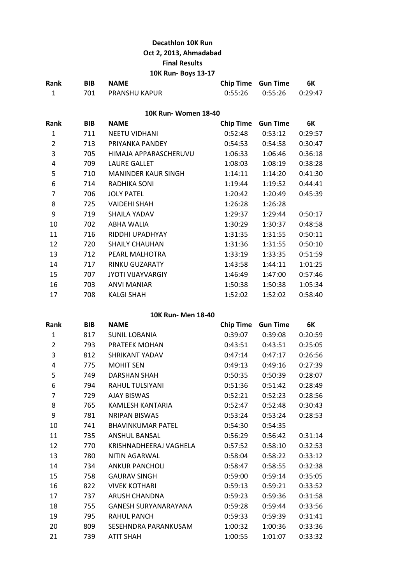# **Decathlon 10K Run Oct 2, 2013, Ahmadabad Final Results**

## **10K Run- Boys 13-17**

| Rank | <b>BIB</b> | <b>NAME</b>       | <b>Chip Time Gun Time</b> |                               | 6K |
|------|------------|-------------------|---------------------------|-------------------------------|----|
|      |            | 701 PRANSHU KAPUR |                           | $0:55:26$ $0:55:26$ $0:29:47$ |    |

## **10K Run- Women 18-40**

| Rank           | <b>BIB</b> | <b>NAME</b>                | <b>Chip Time</b> | <b>Gun Time</b> | 6K      |
|----------------|------------|----------------------------|------------------|-----------------|---------|
| 1              | 711        | <b>NEETU VIDHANI</b>       | 0:52:48          | 0:53:12         | 0:29:57 |
| $\overline{2}$ | 713        | PRIYANKA PANDEY            | 0:54:53          | 0:54:58         | 0:30:47 |
| 3              | 705        | HIMAJA APPARASCHERUVU      | 1:06:33          | 1:06:46         | 0:36:18 |
| 4              | 709        | <b>LAURE GALLET</b>        | 1:08:03          | 1:08:19         | 0:38:28 |
| 5              | 710        | <b>MANINDER KAUR SINGH</b> | 1:14:11          | 1:14:20         | 0:41:30 |
| 6              | 714        | RADHIKA SONI               | 1:19:44          | 1:19:52         | 0:44:41 |
| $\overline{7}$ | 706        | <b>JOLY PATEL</b>          | 1:20:42          | 1:20:49         | 0:45:39 |
| 8              | 725        | <b>VAIDEHI SHAH</b>        | 1:26:28          | 1:26:28         |         |
| 9              | 719        | SHAILA YADAV               | 1:29:37          | 1:29:44         | 0:50:17 |
| 10             | 702        | ABHA WALIA                 | 1:30:29          | 1:30:37         | 0:48:58 |
| 11             | 716        | RIDDHI UPADHYAY            | 1:31:35          | 1:31:55         | 0:50:11 |
| 12             | 720        | <b>SHAILY CHAUHAN</b>      | 1:31:36          | 1:31:55         | 0:50:10 |
| 13             | 712        | PEARL MALHOTRA             | 1:33:19          | 1:33:35         | 0:51:59 |
| 14             | 717        | RINKU GUZARATY             | 1:43:58          | 1:44:11         | 1:01:25 |
| 15             | 707        | <b>JYOTI VIJAYVARGIY</b>   | 1:46:49          | 1:47:00         | 0:57:46 |
| 16             | 703        | ANVI MANIAR                | 1:50:38          | 1:50:38         | 1:05:34 |
| 17             | 708        | KALGI SHAH                 | 1:52:02          | 1:52:02         | 0:58:40 |

#### **10K Run- Men 18-40**

| Rank           | <b>BIB</b> | <b>NAME</b>                 | <b>Chip Time</b> | <b>Gun Time</b> | 6К      |
|----------------|------------|-----------------------------|------------------|-----------------|---------|
| $\mathbf{1}$   | 817        | <b>SUNIL LOBANIA</b>        | 0:39:07          | 0:39:08         | 0:20:59 |
| $\overline{2}$ | 793        | PRATEEK MOHAN               | 0:43:51          | 0:43:51         | 0:25:05 |
| 3              | 812        | SHRIKANT YADAV              | 0:47:14          | 0:47:17         | 0:26:56 |
| 4              | 775        | <b>MOHIT SEN</b>            | 0:49:13          | 0:49:16         | 0:27:39 |
| 5              | 749        | <b>DARSHAN SHAH</b>         | 0:50:35          | 0:50:39         | 0:28:07 |
| 6              | 794        | RAHUL TULSIYANI             | 0:51:36          | 0:51:42         | 0:28:49 |
| $\overline{7}$ | 729        | <b>AJAY BISWAS</b>          | 0:52:21          | 0:52:23         | 0:28:56 |
| 8              | 765        | KAMLESH KANTARIA            | 0:52:47          | 0:52:48         | 0:30:43 |
| 9              | 781        | <b>NRIPAN BISWAS</b>        | 0:53:24          | 0:53:24         | 0:28:53 |
| 10             | 741        | <b>BHAVINKUMAR PATEL</b>    | 0:54:30          | 0:54:35         |         |
| 11             | 735        | <b>ANSHUL BANSAL</b>        | 0:56:29          | 0:56:42         | 0:31:14 |
| 12             | 770        | KRISHNADHEERAJ VAGHELA      | 0:57:52          | 0:58:10         | 0:32:53 |
| 13             | 780        | <b>NITIN AGARWAL</b>        | 0:58:04          | 0:58:22         | 0:33:12 |
| 14             | 734        | <b>ANKUR PANCHOLI</b>       | 0:58:47          | 0:58:55         | 0:32:38 |
| 15             | 758        | <b>GAURAV SINGH</b>         | 0:59:00          | 0:59:14         | 0:35:05 |
| 16             | 822        | <b>VIVEK KOTHARI</b>        | 0:59:13          | 0:59:21         | 0:33:52 |
| 17             | 737        | <b>ARUSH CHANDNA</b>        | 0:59:23          | 0:59:36         | 0:31:58 |
| 18             | 755        | <b>GANESH SURYANARAYANA</b> | 0:59:28          | 0:59:44         | 0:33:56 |
| 19             | 795        | <b>RAHUL PANCH</b>          | 0:59:33          | 0:59:39         | 0:31:41 |
| 20             | 809        | SESEHNDRA PARANKUSAM        | 1:00:32          | 1:00:36         | 0:33:36 |
| 21             | 739        | <b>ATIT SHAH</b>            | 1:00:55          | 1:01:07         | 0:33:32 |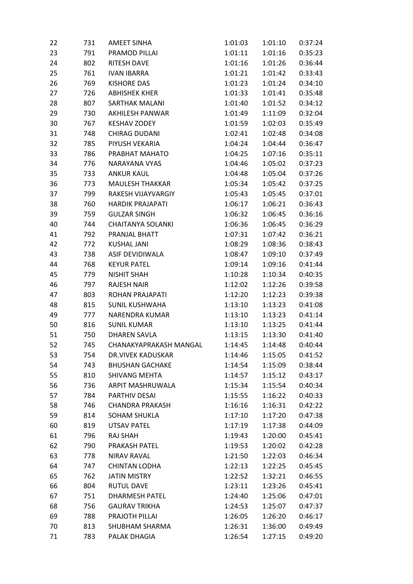| 22 | 731 | <b>AMEET SINHA</b>       | 1:01:03 | 1:01:10 | 0:37:24 |
|----|-----|--------------------------|---------|---------|---------|
| 23 | 791 | PRAMOD PILLAI            | 1:01:11 | 1:01:16 | 0:35:23 |
| 24 | 802 | <b>RITESH DAVE</b>       | 1:01:16 | 1:01:26 | 0:36:44 |
| 25 | 761 | <b>IVAN IBARRA</b>       | 1:01:21 | 1:01:42 | 0:33:43 |
| 26 | 769 | <b>KISHORE DAS</b>       | 1:01:23 | 1:01:24 | 0:34:10 |
| 27 | 726 | <b>ABHISHEK KHER</b>     | 1:01:33 | 1:01:41 | 0:35:48 |
| 28 | 807 | SARTHAK MALANI           | 1:01:40 | 1:01:52 | 0:34:12 |
| 29 | 730 | <b>AKHILESH PANWAR</b>   | 1:01:49 | 1:11:09 | 0:32:04 |
| 30 | 767 | <b>KESHAV ZODEY</b>      | 1:01:59 | 1:02:03 | 0:35:49 |
| 31 | 748 | <b>CHIRAG DUDANI</b>     | 1:02:41 | 1:02:48 | 0:34:08 |
| 32 | 785 | PIYUSH VEKARIA           | 1:04:24 | 1:04:44 | 0:36:47 |
| 33 | 786 | PRABHAT MAHATO           | 1:04:25 | 1:07:16 | 0:35:11 |
| 34 | 776 | NARAYANA VYAS            | 1:04:46 | 1:05:02 | 0:37:23 |
| 35 | 733 | <b>ANKUR KAUL</b>        | 1:04:48 | 1:05:04 | 0:37:26 |
| 36 | 773 | <b>MAULESH THAKKAR</b>   | 1:05:34 | 1:05:42 | 0:37:25 |
| 37 | 799 | RAKESH VIJAYVARGIY       | 1:05:43 | 1:05:45 | 0:37:01 |
| 38 | 760 | <b>HARDIK PRAJAPATI</b>  | 1:06:17 | 1:06:21 | 0:36:43 |
| 39 | 759 | <b>GULZAR SINGH</b>      | 1:06:32 | 1:06:45 | 0:36:16 |
| 40 | 744 | <b>CHAITANYA SOLANKI</b> | 1:06:36 | 1:06:45 | 0:36:29 |
| 41 | 792 | PRANJAL BHATT            | 1:07:31 | 1:07:42 | 0:36:21 |
| 42 | 772 | <b>KUSHAL JANI</b>       | 1:08:29 | 1:08:36 | 0:38:43 |
| 43 | 738 | ASIF DEVIDIWALA          | 1:08:47 | 1:09:10 | 0:37:49 |
| 44 | 768 | <b>KEYUR PATEL</b>       | 1:09:14 | 1:09:16 | 0:41:44 |
| 45 | 779 | <b>NISHIT SHAH</b>       | 1:10:28 | 1:10:34 | 0:40:35 |
| 46 | 797 | <b>RAJESH NAIR</b>       | 1:12:02 | 1:12:26 | 0:39:58 |
| 47 | 803 | ROHAN PRAJAPATI          | 1:12:20 | 1:12:23 | 0:39:38 |
| 48 | 815 | <b>SUNIL KUSHWAHA</b>    | 1:13:10 | 1:13:23 | 0:41:08 |
| 49 | 777 | <b>NARENDRA KUMAR</b>    | 1:13:10 | 1:13:23 | 0:41:14 |
| 50 | 816 | <b>SUNIL KUMAR</b>       | 1:13:10 | 1:13:25 | 0:41:44 |
| 51 | 750 | <b>DHAREN SAVLA</b>      | 1:13:15 | 1:13:30 | 0:41:40 |
| 52 | 745 | CHANAKYAPRAKASH MANGAL   | 1:14:45 | 1:14:48 | 0:40:44 |
| 53 | 754 | <b>DR.VIVEK KADUSKAR</b> | 1:14:46 | 1:15:05 | 0:41:52 |
| 54 | 743 | <b>BHUSHAN GACHAKE</b>   | 1:14:54 | 1:15:09 | 0:38:44 |
| 55 | 810 | <b>SHIVANG MEHTA</b>     | 1:14:57 | 1:15:12 | 0:43:17 |
| 56 | 736 | ARPIT MASHRUWALA         | 1:15:34 | 1:15:54 | 0:40:34 |
| 57 | 784 | PARTHIV DESAI            | 1:15:55 | 1:16:22 | 0:40:33 |
| 58 | 746 | <b>CHANDRA PRAKASH</b>   | 1:16:16 | 1:16:31 | 0:42:22 |
| 59 | 814 | <b>SOHAM SHUKLA</b>      | 1:17:10 | 1:17:20 | 0:47:38 |
| 60 | 819 | <b>UTSAV PATEL</b>       | 1:17:19 | 1:17:38 | 0:44:09 |
| 61 | 796 | RAJ SHAH                 | 1:19:43 | 1:20:00 | 0:45:41 |
| 62 | 790 | PRAKASH PATEL            | 1:19:53 | 1:20:02 | 0:42:28 |
| 63 | 778 | <b>NIRAV RAVAL</b>       | 1:21:50 | 1:22:03 | 0:46:34 |
| 64 | 747 | <b>CHINTAN LODHA</b>     | 1:22:13 | 1:22:25 | 0:45:45 |
| 65 | 762 | <b>JATIN MISTRY</b>      | 1:22:52 | 1:32:21 | 0:46:55 |
| 66 | 804 | <b>RUTUL DAVE</b>        | 1:23:11 | 1:23:26 | 0:45:41 |
| 67 | 751 | <b>DHARMESH PATEL</b>    | 1:24:40 | 1:25:06 | 0:47:01 |
| 68 | 756 | <b>GAURAV TRIKHA</b>     | 1:24:53 | 1:25:07 | 0:47:37 |
| 69 | 788 | PRAJOTH PILLAI           | 1:26:05 | 1:26:20 | 0:46:17 |
| 70 | 813 | <b>SHUBHAM SHARMA</b>    | 1:26:31 | 1:36:00 | 0:49:49 |
| 71 | 783 | PALAK DHAGIA             | 1:26:54 | 1:27:15 | 0:49:20 |
|    |     |                          |         |         |         |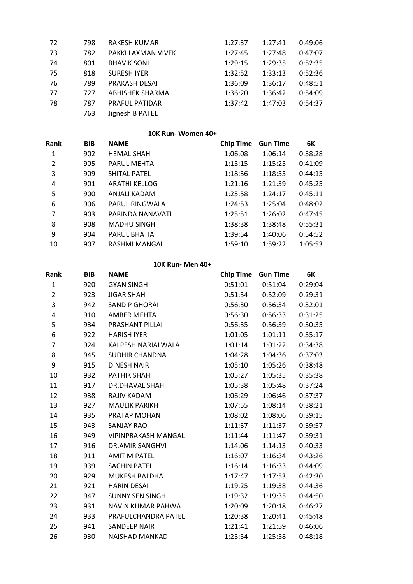| 72  | 798 | <b>RAKESH KUMAR</b>    | 1:27:37 | 1:27:41 | 0:49:06 |
|-----|-----|------------------------|---------|---------|---------|
| -73 | 782 | PAKKI LAXMAN VIVEK     | 1:27:45 | 1:27:48 | 0:47:07 |
| 74  | 801 | <b>BHAVIK SONI</b>     | 1:29:15 | 1:29:35 | 0:52:35 |
| -75 | 818 | <b>SURESH IYER</b>     | 1:32:52 | 1:33:13 | 0:52:36 |
| -76 | 789 | PRAKASH DESAI          | 1:36:09 | 1:36:17 | 0:48:51 |
| 77  | 727 | <b>ABHISHEK SHARMA</b> | 1:36:20 | 1:36:42 | 0:54:09 |
| 78  | 787 | <b>PRAFUL PATIDAR</b>  | 1:37:42 | 1:47:03 | 0:54:37 |
|     | 763 | Jignesh B PATEL        |         |         |         |

# **10K Run- Women 40+**

| Rank           | <b>BIB</b> | <b>NAME</b>          | <b>Chip Time</b> | <b>Gun Time</b> | 6K      |
|----------------|------------|----------------------|------------------|-----------------|---------|
| 1              | 902        | <b>HEMAL SHAH</b>    | 1:06:08          | 1:06:14         | 0:38:28 |
| $\overline{2}$ | 905        | <b>PARUL MEHTA</b>   | 1:15:15          | 1:15:25         | 0:41:09 |
| 3              | 909        | <b>SHITAL PATEL</b>  | 1:18:36          | 1:18:55         | 0:44:15 |
| 4              | 901        | <b>ARATHI KELLOG</b> | 1:21:16          | 1:21:39         | 0:45:25 |
| 5              | 900        | ANJALI KADAM         | 1:23:58          | 1:24:17         | 0:45:11 |
| 6              | 906        | PARUL RINGWALA       | 1:24:53          | 1:25:04         | 0:48:02 |
| 7              | 903        | PARINDA NANAVATI     | 1:25:51          | 1:26:02         | 0:47:45 |
| 8              | 908        | <b>MADHU SINGH</b>   | 1:38:38          | 1:38:48         | 0:55:31 |
| 9              | 904        | PARUL BHATIA         | 1:39:54          | 1:40:06         | 0:54:52 |
| 10             | 907        | RASHMI MANGAL        | 1:59:10          | 1:59:22         | 1:05:53 |

## **10K Run- Men 40+**

| Rank                    | <b>BIB</b> | <b>NAME</b>                | <b>Chip Time</b> | <b>Gun Time</b> | 6K      |
|-------------------------|------------|----------------------------|------------------|-----------------|---------|
| $\mathbf{1}$            | 920        | <b>GYAN SINGH</b>          | 0:51:01          | 0:51:04         | 0:29:04 |
| $\overline{2}$          | 923        | <b>JIGAR SHAH</b>          | 0:51:54          | 0:52:09         | 0:29:31 |
| 3                       | 942        | <b>SANDIP GHORAI</b>       | 0:56:30          | 0:56:34         | 0:32:01 |
| $\overline{\mathbf{4}}$ | 910        | AMBER MEHTA                | 0:56:30          | 0:56:33         | 0:31:25 |
| 5                       | 934        | PRASHANT PILLAI            | 0:56:35          | 0:56:39         | 0:30:35 |
| 6                       | 922        | <b>HARISH IYER</b>         | 1:01:05          | 1:01:11         | 0:35:17 |
| $\overline{7}$          | 924        | KALPESH NARIALWALA         | 1:01:14          | 1:01:22         | 0:34:38 |
| 8                       | 945        | <b>SUDHIR CHANDNA</b>      | 1:04:28          | 1:04:36         | 0:37:03 |
| 9                       | 915        | <b>DINESH NAIR</b>         | 1:05:10          | 1:05:26         | 0:38:48 |
| 10                      | 932        | <b>PATHIK SHAH</b>         | 1:05:27          | 1:05:35         | 0:35:38 |
| 11                      | 917        | DR.DHAVAL SHAH             | 1:05:38          | 1:05:48         | 0:37:24 |
| 12                      | 938        | RAJIV KADAM                | 1:06:29          | 1:06:46         | 0:37:37 |
| 13                      | 927        | <b>MAULIK PARIKH</b>       | 1:07:55          | 1:08:14         | 0:38:21 |
| 14                      | 935        | PRATAP MOHAN               | 1:08:02          | 1:08:06         | 0:39:15 |
| 15                      | 943        | <b>SANJAY RAO</b>          | 1:11:37          | 1:11:37         | 0:39:57 |
| 16                      | 949        | <b>VIPINPRAKASH MANGAL</b> | 1:11:44          | 1:11:47         | 0:39:31 |
| 17                      | 916        | <b>DR.AMIR SANGHVI</b>     | 1:14:06          | 1:14:13         | 0:40:33 |
| 18                      | 911        | <b>AMIT M PATEL</b>        | 1:16:07          | 1:16:34         | 0:43:26 |
| 19                      | 939        | <b>SACHIN PATEL</b>        | 1:16:14          | 1:16:33         | 0:44:09 |
| 20                      | 929        | <b>MUKESH BALDHA</b>       | 1:17:47          | 1:17:53         | 0:42:30 |
| 21                      | 921        | <b>HARIN DESAI</b>         | 1:19:25          | 1:19:38         | 0:44:36 |
| 22                      | 947        | <b>SUNNY SEN SINGH</b>     | 1:19:32          | 1:19:35         | 0:44:50 |
| 23                      | 931        | NAVIN KUMAR PAHWA          | 1:20:09          | 1:20:18         | 0:46:27 |
| 24                      | 933        | PRAFULCHANDRA PATEL        | 1:20:38          | 1:20:41         | 0:45:48 |
| 25                      | 941        | <b>SANDEEP NAIR</b>        | 1:21:41          | 1:21:59         | 0:46:06 |
| 26                      | 930        | <b>NAISHAD MANKAD</b>      | 1:25:54          | 1:25:58         | 0:48:18 |
|                         |            |                            |                  |                 |         |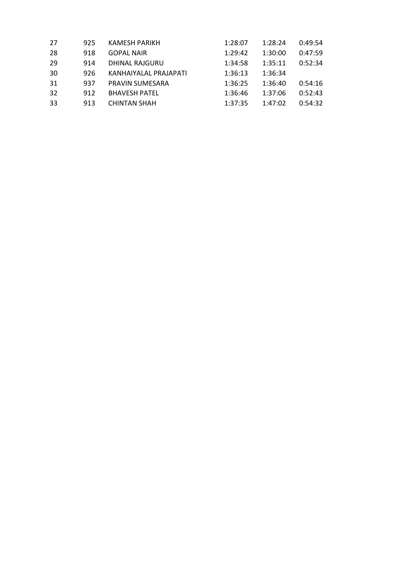| 27  | 925 | <b>KAMESH PARIKH</b>  | 1:28:07 | 1:28:24 | 0:49:54 |
|-----|-----|-----------------------|---------|---------|---------|
| -28 | 918 | <b>GOPAL NAIR</b>     | 1:29:42 | 1:30:00 | 0:47:59 |
| 29  | 914 | DHINAL RAJGURU        | 1:34:58 | 1:35:11 | 0:52:34 |
| 30  | 926 | KANHAIYALAL PRAJAPATI | 1:36:13 | 1:36:34 |         |
| 31  | 937 | PRAVIN SUMESARA       | 1:36:25 | 1:36:40 | 0:54:16 |
| 32  | 912 | <b>BHAVESH PATEL</b>  | 1:36:46 | 1:37:06 | 0:52:43 |
| -33 | 913 | <b>CHINTAN SHAH</b>   | 1:37:35 | 1:47:02 | 0:54:32 |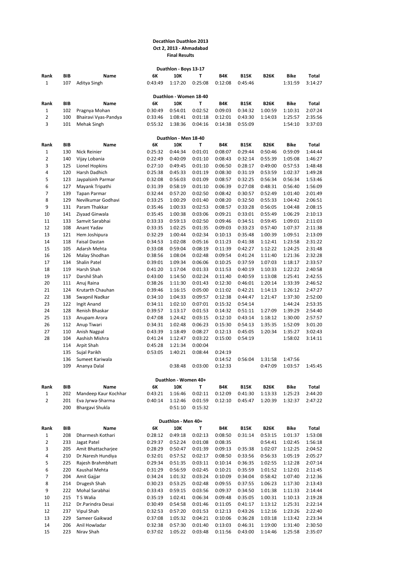#### **Decathlon Duathlon 2013 Oct 2, 2013 - Ahmadabad Final Results**

| Duathlon - Boys 13-17 |            |                               |                    |                             |                    |                    |                    |             |                    |                    |  |
|-----------------------|------------|-------------------------------|--------------------|-----------------------------|--------------------|--------------------|--------------------|-------------|--------------------|--------------------|--|
| Rank                  | BIB        | Name                          | 6К                 | 10K                         | т                  | B4K                | <b>B15K</b>        | <b>B26K</b> | Bike               | <b>Total</b>       |  |
| $\mathbf{1}$          | 107        | Aditya Singh                  | 0:43:49            | 1:17:20                     | 0:25:08            | 0:12:08            | 0:45:46            |             | 1:31:59            | 3:14:27            |  |
|                       |            |                               |                    |                             |                    |                    |                    |             |                    |                    |  |
|                       |            |                               |                    | Duathlon - Women 18-40      |                    |                    |                    |             |                    |                    |  |
| Rank                  | BIB        | Name                          | 6К                 | 10K                         | т                  | B4K                | <b>B15K</b>        | <b>B26K</b> | Bike               | Total              |  |
| $\mathbf{1}$          | 102        | Pragnya Mohan                 | 0:30:49            | 0:54:01                     | 0:02:52            | 0:09:03            | 0:34:32            | 1:00:59     | 1:10:31            | 2:07:24            |  |
| $\overline{2}$        | 100        | Bhairavi Vyas-Pandya          | 0:33:46            | 1:08:41                     | 0:01:18            | 0:12:01            | 0:43:30            | 1:14:03     | 1:25:57            | 2:35:56            |  |
| 3                     | 101        | Mehak Singh                   | 0:55:32            | 1:38:36                     | 0:04:16            | 0:14:38            | 0:55:09            |             | 1:54:10            | 3:37:03            |  |
|                       |            |                               |                    |                             |                    |                    |                    |             |                    |                    |  |
| Rank                  | BIB        | Name                          | 6К                 | Duathlon - Men 18-40<br>10K | т                  | B4K                | <b>B15K</b>        | <b>B26K</b> | Bike               | Total              |  |
| $\mathbf{1}$          | 130        | Nick Reinier                  | 0:25:32            | 0:44:34                     | 0:01:01            | 0:08:07            | 0:29:44            | 0:50:46     | 0:59:09            | 1:44:44            |  |
| $\overline{2}$        | 140        | Vijay Lobania                 | 0:22:49            | 0:40:09                     | 0:01:10            | 0:08:43            | 0:32:14            | 0:55:39     | 1:05:08            | 1:46:27            |  |
| 3                     | 125        | Lionel Hopkins                | 0:27:10            | 0:49:45                     | 0:01:10            | 0:06:50            | 0:28:17            | 0:49:00     | 0:57:53            | 1:48:48            |  |
| 4                     | 120        | Harsh Dadhich                 | 0:25:38            | 0:45:33                     | 0:01:19            | 0:08:30            | 0:31:19            | 0:53:59     | 1:02:37            | 1:49:28            |  |
| 5                     | 123        | Jaypalsinh Parmar             | 0:32:08            | 0:56:03                     | 0:01:09            | 0:08:57            | 0:32:25            | 0:56:34     | 0:56:34            | 1:53:46            |  |
| 6                     | 127        | Mayank Tripathi               | 0:31:39            | 0:58:19                     | 0:01:10            | 0:06:39            | 0:27:08            | 0:48:31     | 0:56:40            | 1:56:09            |  |
| $\overline{7}$        | 139        | Tapan Parmar                  | 0:32:44            | 0:57:20                     | 0:02:50            | 0:08:42            | 0:30:57            | 0:52:49     | 1:01:40            | 2:01:49            |  |
| 8                     | 129        | Nevilkumar Godhavi            | 0:33:25            | 1:00:29                     | 0:01:40            | 0:08:20            | 0:32:50            | 0:55:33     | 1:04:42            | 2:06:51            |  |
| 9                     | 131        | Param Thakkar                 | 0:35:46            | 1:00:33                     | 0:02:53            | 0:08:57            | 0:33:28            | 0:56:05     | 1:04:48            | 2:08:15            |  |
| 10                    | 141        | Ziyaad Ginwala                | 0:35:45            | 1:00:38                     | 0:03:06            | 0:09:21            | 0:33:01            | 0:55:49     | 1:06:29            | 2:10:13            |  |
| 11                    | 133        | Samvit Sarabhai               | 0:33:33            | 0:59:13                     | 0:02:50            | 0:09:46            | 0:34:51            | 0:59:45     | 1:09:01            | 2:11:03            |  |
| 12                    | 108        | Anant Yadav                   | 0:33:35            | 1:02:25                     | 0:01:35            | 0:09:03            | 0:33:23            | 0:57:40     | 1:07:37            | 2:11:38            |  |
| 13                    | 121        | Hem Joshipura                 | 0:32:29            | 1:00:44                     | 0:02:34            | 0:10:13            | 0:35:48            | 1:00:39     | 1:09:51            | 2:13:09            |  |
| 14                    | 118        | <b>Faisal Dastan</b>          | 0:34:53            | 1:02:08                     | 0:05:16            | 0:11:23            | 0:41:38            | 1:12:41     | 1:23:58            | 2:31:22            |  |
| 15                    | 105        | Adarsh Mehta                  | 0:33:08            | 0:59:04                     | 0:08:19            | 0:11:39            | 0:42:27            | 1:12:22     | 1:24:25            | 2:31:48            |  |
| 16                    | 126        | Malay Shodhan                 | 0:38:56            | 1:08:04                     | 0:02:48            | 0:09:54            | 0:41:24            | 1:11:40     | 1:21:36            | 2:32:28            |  |
| 17                    | 134        | Shalin Patel                  | 0:39:01            | 1:09:34                     | 0:06:06            | 0:10:25            | 0:37:59            | 1:07:03     | 1:18:17            | 2:33:57            |  |
| 18                    | 119        | Harsh Shah                    | 0:41:20            | 1:17:04                     | 0:01:33            | 0:11:53            | 0:40:19            | 1:10:33     | 1:22:22            | 2:40:58            |  |
| 19                    | 117        | Darshil Shah                  | 0:43:00            | 1:14:50                     | 0:02:24            | 0:11:40            | 0:40:59            | 1:13:08     | 1:25:41            | 2:42:55            |  |
| 20                    | 111        | Anuj Raina                    | 0:38:26            | 1:11:30                     | 0:01:43            | 0:12:30            | 0:46:01            | 1:20:14     | 1:33:39            | 2:46:52            |  |
| 21                    | 124        | Krutarth Chauhan              | 0:39:46            | 1:16:15                     | 0:05:00            | 0:11:02            | 0:42:21            | 1:14:13     | 1:26:12            | 2:47:27            |  |
| 22                    | 138        | Swapnil Nadkar                | 0:34:10            | 1:04:33                     | 0:09:57            | 0:12:38            | 0:44:47            | 1:21:47     | 1:37:30            | 2:52:00            |  |
| 23<br>24              | 122<br>128 | Ingit Anand<br>Renish Bhaskar | 0:34:11<br>0:39:57 | 1:02:10<br>1:13:17          | 0:07:01<br>0:01:53 | 0:15:32<br>0:14:32 | 0:54:14<br>0:51:11 | 1:27:09     | 1:44:24<br>1:39:29 | 2:53:35<br>2:54:40 |  |
| 25                    | 113        | Anupam Arora                  | 0:47:08            | 1:24:42                     | 0:03:15            | 0:12:10            | 0:43:14            | 1:18:12     | 1:30:00            | 2:57:57            |  |
| 26                    | 112        | Anup Tiwari                   | 0:34:31            | 1:02:48                     | 0:06:23            | 0:15:30            | 0:54:13            | 1:35:35     | 1:52:09            | 3:01:20            |  |
| 27                    | 110        | Anish Nagpal                  | 0:43:39            | 1:18:49                     | 0:08:27            | 0:12:13            | 0:45:05            | 1:20:34     | 1:35:27            | 3:02:43            |  |
| 28                    | 104        | Aashish Mishra                | 0:41:24            | 1:12:47                     | 0:03:22            | 0:15:00            | 0:54:19            |             | 1:58:02            | 3:14:11            |  |
|                       | 114        | Arpit Shah                    | 0:45:28            | 1:21:34                     | 0:00:04            |                    |                    |             |                    |                    |  |
|                       | 135        | Sujal Parikh                  | 0:53:05            | 1:40:21                     | 0:08:44            | 0:24:19            |                    |             |                    |                    |  |
|                       | 136        | Sumeet Kariwala               |                    |                             |                    | 0:14:52            | 0:56:04            | 1:31:58     | 1:47:56            |                    |  |
|                       | 109        | Ananya Dalal                  |                    | 0:38:48                     | 0:03:00            | 0:12:33            |                    | 0:47:09     | 1:03:57            | 1:45:45            |  |
|                       |            |                               |                    |                             |                    |                    |                    |             |                    |                    |  |
|                       |            |                               |                    | Duathlon - Women 40+        |                    |                    |                    |             |                    |                    |  |
| Rank                  | BIB        | Name                          | 6К                 | 10K                         | T                  | B4K                | <b>B15K</b>        | <b>B26K</b> | Bike               | Total              |  |
| 1                     | 202        | Mandeep Kaur Kochhar          | 0:43:21            | 1:16:46                     | 0:02:11            | 0:12:09            | 0:41:30            | 1:13:33     | 1:25:23            | 2:44:20            |  |
| $\overline{2}$        | 201        | Eva Jyrwa-Sharma              | 0:40:14            | 1:12:46                     | 0:01:59            | 0:12:10            | 0:45:47            | 1:20:39     | 1:32:37            | 2:47:22            |  |
|                       | 200        | Bhargavi Shukla               |                    | 0:51:10                     | 0:15:32            |                    |                    |             |                    |                    |  |
|                       |            |                               |                    |                             |                    |                    |                    |             |                    |                    |  |
|                       | BIB        | Name                          | 6К                 | Duathlon - Men 40+<br>10K   | Т                  | B4K                | <b>B15K</b>        | <b>B26K</b> | Bike               | Total              |  |
| Rank<br>1             | 208        | Dharmesh Kothari              | 0:28:12            | 0:49:18                     | 0:02:13            |                    | 0:31:14            | 0:53:15     | 1:01:37            | 1:53:08            |  |
| $\overline{2}$        | 233        | Jagat Patel                   | 0:29:37            | 0:52:24                     | 0:01:08            | 0:08:50<br>0:08:35 |                    | 0:54:41     | 1:02:45            | 1:56:18            |  |
| 3                     | 205        | Amit Bhattacharjee            | 0:28:29            | 0:50:47                     | 0:01:39            | 0:09:13            | 0:35:38            | 1:02:07     | 1:12:25            | 2:04:52            |  |
| 4                     | 210        | Dr.Naresh Hundiya             | 0:32:01            | 0:57:52                     | 0:02:17            | 0:08:50            | 0:33:56            | 0:56:33     | 1:05:19            | 2:05:27            |  |
| 5                     | 225        | Rajesh Brahmbhatt             | 0:29:34            | 0:51:35                     | 0:03:11            | 0:10:14            | 0:36:35            | 1:02:55     | 1:12:28            | 2:07:14            |  |
| 6                     | 220        | Kaushal Mehta                 | 0:31:29            | 0:56:59                     | 0:02:45            | 0:10:21            | 0:35:59            | 1:01:52     | 1:12:01            | 2:11:45            |  |
| $\overline{7}$        | 204        | Amit Gajjar                   | 0:34:24            | 1:01:32                     | 0:03:24            | 0:10:09            | 0:34:04            | 0:58:42     | 1:07:40            | 2:12:36            |  |
| 8                     | 214        | Drugesh Shah                  | 0:30:23            | 0:53:25                     | 0:02:48            | 0:09:55            | 0:37:55            | 1:06:23     | 1:17:30            | 2:13:43            |  |
| 9                     | 222        | Mohal Sarabhai                | 0:33:43            | 0:59:15                     | 0:03:56            | 0:09:37            | 0:34:50            | 1:01:38     | 1:11:33            | 2:14:44            |  |
| 10                    | 215        | T S Walia                     | 0:35:19            | 1:02:41                     | 0:06:34            | 0:09:48            | 0:35:05            | 1:00:31     | 1:10:13            | 2:19:28            |  |
| 11                    | 212        | Dr.Parindra Desai             | 0:30:49            | 0:54:58                     | 0:01:46            | 0:11:05            | 0:41:17            | 1:13:12     | 1:25:31            | 2:22:14            |  |
| 12                    | 237        | Vipul Shah                    | 0:32:53            | 0:57:20                     | 0:01:53            | 0:12:13            | 0:43:26            | 1:12:16     | 1:23:26            | 2:22:40            |  |
| 13                    | 229        | Sameer Gaikwad                | 0:37:08            | 1:05:32                     | 0:04:21            | 0:10:06            | 0:36:28            | 1:03:18     | 1:13:42            | 2:23:34            |  |
| 14                    | 206        | Anil Howladar                 | 0:32:38            | 0:57:30                     | 0:01:40            | 0:13:03            | 0:46:31            | 1:19:00     | 1:31:40            | 2:30:50            |  |
| 15                    | 223        | Nirav Shah                    | 0:37:02            | 1:05:22                     | 0:03:48            | 0:11:56            | 0:43:00            | 1:14:46     | 1:25:58            | 2:35:07            |  |